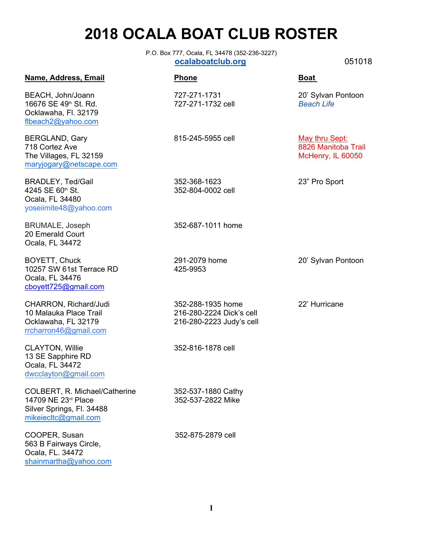# **2018 OCALA BOAT CLUB ROSTER**

P.O. Box 777, Ocala, FL 34478 (352-236-3227)  **ocalaboatclub.org** 051018

## **Name, Address, Email Construction Boat Phone Boat Boat**

BEACH, John/Joann 727-271-1731 20' Sylvan Pontoon 16676 SE 49th St. Rd. 727-271-1732 cell *Beach Life* Ocklawaha, Fl. 32179 flbeach2@yahoo.com

BERGLAND, Gary 815-245-5955 cell <u>May thru Sept:</u> <br>718 Cortez Ave 8826 Manitoba Trail The Villages, FL 32159 McHenry, IL 60050 [maryjogary@netscape.com](mailto:maryjogary@netscape.com) BRADLEY, Ted/Gail 352-368-1623 23" Pro Sport

4245 SE 60<sup>th</sup> St. 352-804-0002 cell Ocala, FL 34480 yoseiimite48@yahoo.com

20 Emerald Court Ocala, FL 34472

BOYETT, Chuck 291-2079 home 20' Sylvan Pontoon 10257 SW 61st Terrace RD 425-9953 Ocala, FL 34476<br>[cboyett725@gmail.com](mailto:cboyett725@gmail.com)

[rrcharron46@gmail.com](mailto:Rrcharron46@gmail.com)

CLAYTON, Willie 352-816-1878 cell 13 SE Sapphire RD Ocala, FL 34472 [dwcclayton@gmail.com](mailto:dwcclayton@gmail.com)

COLBERT, R. Michael/Catherine 352-537-1880 Cathy 14709 NE 23<sup>rd</sup> Place 352-537-2822 Mike Silver Springs, Fl. 34488 mikeiecltc@gmail.com

COOPER, Susan 352-875-2879 cell 563 B Fairways Circle, Ocala, FL. 34472 shainmartha@yahoo.com

BRUMALE, Joseph 352-687-1011 home

CHARRON, Richard/Judi 352-288-1935 home 22' Hurricane 10 Malauka Place Trail 216-280-2224 Dick's cell Ocklawaha, FL 32179 216-280-2223 Judy's cell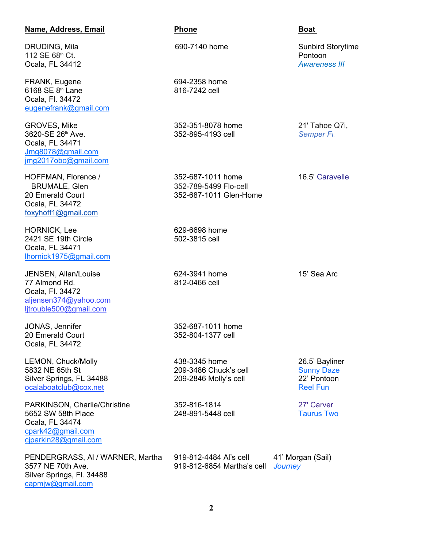### **Name, Address, Email Phone Boat**

DRUDING, Mila **690-7140 home** Sunbird Storytime 112 SE 68<sup>th</sup> Ct. Pontoon Changes and Changes and Changes and Changes and Changes and Changes and Changes and Changes and Changes and Changes and Changes and Changes and Changes and Changes and Changes and Changes and Chan Ocala, FL 34412 *Awareness III*

FRANK, Eugene 694-2358 home 6168 SE 8<sup>th</sup> Lane 816-7242 cell Ocala, Fl. 34472 [eugenefrank@gmail.com](mailto:eugenefrank@gmail.com)

GROVES, Mike 352-351-8078 home 21' Tahoe Q7i, 3620-SE 26th Ave. 352-895-4193 cell *Semper Fi*. Ocala, FL 34471 [Jmg8078@gmail.com](mailto:Jmg8078@gmail.com) jmg2017obc@gmail.com

Ocala, FL 34472 [foxyhoff1@gmail.com](mailto:foxyhoff1@gmail.com)

HORNICK, Lee 629-6698 home 2421 SE 19th Circle 502-3815 cell Ocala, FL 34471 [lhornick1975@gmail.com](mailto:lhornick1975@gmail.com)

JENSEN, Allan/Louise 624-3941 home 15' Sea Arc 77 Almond Rd. 812-0466 cell Ocala, Fl. 34472 aljensen374@yahoo.com [ljtrouble500@gmail.com](mailto:ljtrouble500@gmail.com)

Ocala, FL 34472

LEMON, Chuck/Molly 438-3345 home 26.5' Bayliner 5832 NE 65th St 209-3486 Chuck's cell Sunny Daze Silver Springs, FL 34488 209-2846 Molly's cell 22' Pontoon<br>
ocalaboatclub@cox.net 22' Pontoon [ocalaboatclub@cox.net](mailto:mlemon1@cox.net)

PARKINSON, Charlie/Christine 352-816-1814 27' Carver 5652 SW 58th Place 248-891-5448 cell Taurus Two Ocala, FL 34474 [cpark42@gmail.com](mailto:cparkins42@gmail.com) [cjparkin28@gmail.com](mailto:cjparkin28@gmail.com)

3577 NE 70th Ave. 919-812-6854 Martha's cell *Journey* Silver Springs, Fl. 34488 capmjw@gmail.com

HOFFMAN, Florence / 352-687-1011 home 16.5' Caravelle BRUMALE, Glen 352-789-5499 Flo-cell 20 Emerald Court [352-687-1011 Glen-Home](tel:(352)%20789-5496)

JONAS, Jennifer 352-687-1011 home 20 Emerald Court 352-804-1377 cell

PENDERGRASS, AI / WARNER, Martha 919-812-4484 Al's cell 41' Morgan (Sail)